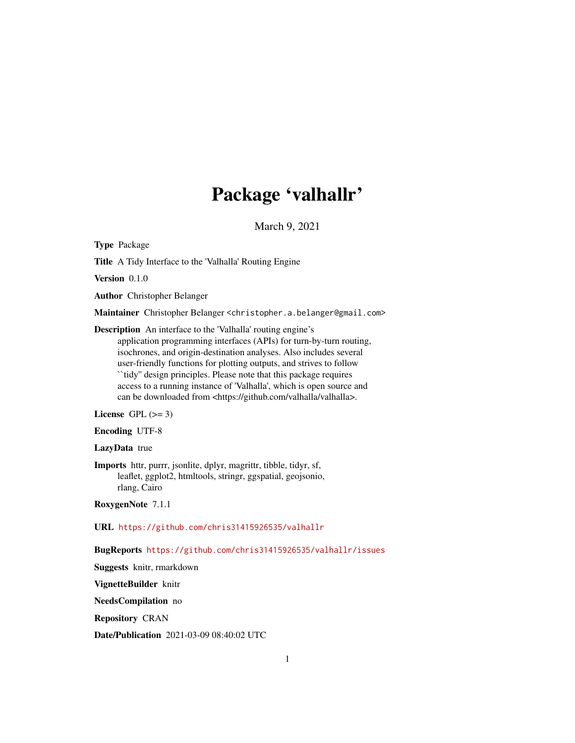# Package 'valhallr'

March 9, 2021

Type Package

Title A Tidy Interface to the 'Valhalla' Routing Engine

Version 0.1.0

Author Christopher Belanger

Maintainer Christopher Belanger <christopher.a.belanger@gmail.com>

Description An interface to the 'Valhalla' routing engine's application programming interfaces (APIs) for turn-by-turn routing, isochrones, and origin-destination analyses. Also includes several user-friendly functions for plotting outputs, and strives to follow ``tidy'' design principles. Please note that this package requires access to a running instance of 'Valhalla', which is open source and can be downloaded from <https://github.com/valhalla/valhalla>.

License GPL  $(>= 3)$ 

Encoding UTF-8

LazyData true

Imports httr, purrr, jsonlite, dplyr, magrittr, tibble, tidyr, sf, leaflet, ggplot2, htmltools, stringr, ggspatial, geojsonio, rlang, Cairo

RoxygenNote 7.1.1

URL <https://github.com/chris31415926535/valhallr>

BugReports <https://github.com/chris31415926535/valhallr/issues>

Suggests knitr, rmarkdown

VignetteBuilder knitr

NeedsCompilation no

Repository CRAN

Date/Publication 2021-03-09 08:40:02 UTC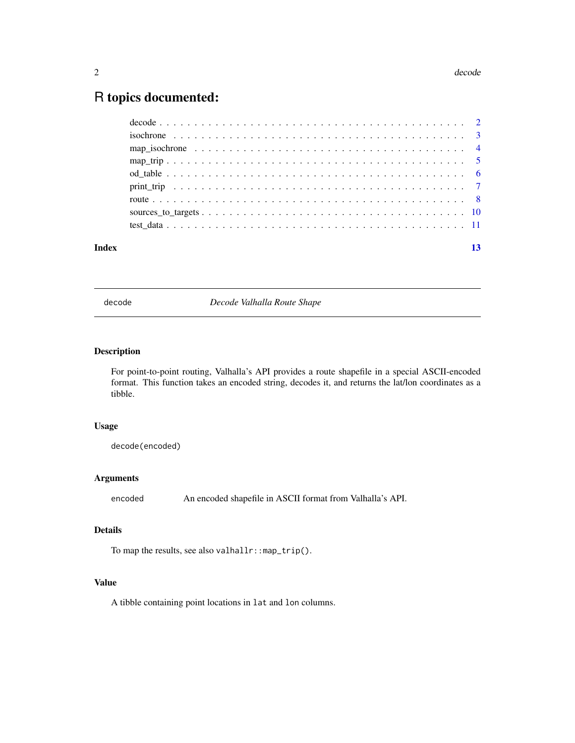#### <span id="page-1-0"></span>2 decode and  $\alpha$  decode and  $\alpha$  decode and  $\alpha$  decode and  $\alpha$  decode and  $\alpha$  decode

# R topics documented:

| Index |                                                                                                        |  |
|-------|--------------------------------------------------------------------------------------------------------|--|
|       |                                                                                                        |  |
|       |                                                                                                        |  |
|       |                                                                                                        |  |
|       |                                                                                                        |  |
|       |                                                                                                        |  |
|       |                                                                                                        |  |
|       |                                                                                                        |  |
|       | isochrone $\ldots \ldots \ldots \ldots \ldots \ldots \ldots \ldots \ldots \ldots \ldots \ldots \ldots$ |  |
|       |                                                                                                        |  |

decode *Decode Valhalla Route Shape*

# Description

For point-to-point routing, Valhalla's API provides a route shapefile in a special ASCII-encoded format. This function takes an encoded string, decodes it, and returns the lat/lon coordinates as a tibble.

#### Usage

decode(encoded)

### Arguments

encoded An encoded shapefile in ASCII format from Valhalla's API.

# Details

To map the results, see also valhallr::map\_trip().

# Value

A tibble containing point locations in lat and lon columns.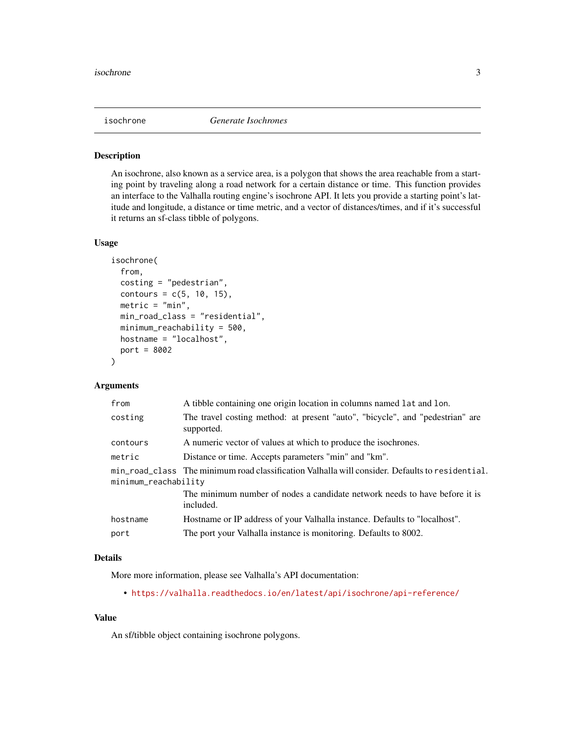<span id="page-2-0"></span>

#### Description

An isochrone, also known as a service area, is a polygon that shows the area reachable from a starting point by traveling along a road network for a certain distance or time. This function provides an interface to the Valhalla routing engine's isochrone API. It lets you provide a starting point's latitude and longitude, a distance or time metric, and a vector of distances/times, and if it's successful it returns an sf-class tibble of polygons.

#### Usage

```
isochrone(
  from,
  costing = "pedestrian",
  contours = c(5, 10, 15),metric = "min",
 min_road_class = "residential",
 minimum_reachability = 500,
 hostname = "localhost",
 port = 8002
)
```
# Arguments

| A tibble containing one origin location in columns named lat and lon.                                                   |
|-------------------------------------------------------------------------------------------------------------------------|
| The travel costing method: at present "auto", "bicycle", and "pedestrian" are<br>supported.                             |
| A numeric vector of values at which to produce the isochrones.                                                          |
| Distance or time. Accepts parameters "min" and "km".                                                                    |
| min_road_class The minimum road classification Valhalla will consider. Defaults to residential.<br>minimum_reachability |
| The minimum number of nodes a candidate network needs to have before it is<br>included.                                 |
| Hostname or IP address of your Valhalla instance. Defaults to "localhost".                                              |
| The port your Valhalla instance is monitoring. Defaults to 8002.                                                        |
|                                                                                                                         |

# Details

More more information, please see Valhalla's API documentation:

• <https://valhalla.readthedocs.io/en/latest/api/isochrone/api-reference/>

#### Value

An sf/tibble object containing isochrone polygons.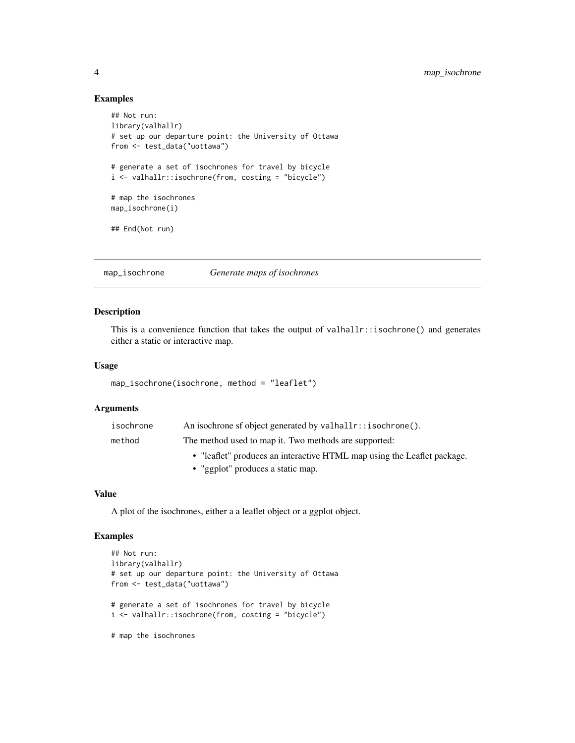#### Examples

```
## Not run:
library(valhallr)
# set up our departure point: the University of Ottawa
from <- test_data("uottawa")
# generate a set of isochrones for travel by bicycle
i <- valhallr::isochrone(from, costing = "bicycle")
# map the isochrones
map_isochrone(i)
## End(Not run)
```
map\_isochrone *Generate maps of isochrones*

#### Description

This is a convenience function that takes the output of valhallr::isochrone() and generates either a static or interactive map.

# Usage

```
map_isochrone(isochrone, method = "leaflet")
```
#### Arguments

| isochrone | An isochrone sf object generated by valhallr::isochrone().              |
|-----------|-------------------------------------------------------------------------|
| method    | The method used to map it. Two methods are supported:                   |
|           | • "leaflet" produces an interactive HTML map using the Leaflet package. |
|           | • "ggplot" produces a static map.                                       |

### Value

A plot of the isochrones, either a a leaflet object or a ggplot object.

# Examples

```
## Not run:
library(valhallr)
# set up our departure point: the University of Ottawa
from <- test_data("uottawa")
# generate a set of isochrones for travel by bicycle
i <- valhallr::isochrone(from, costing = "bicycle")
# map the isochrones
```
<span id="page-3-0"></span>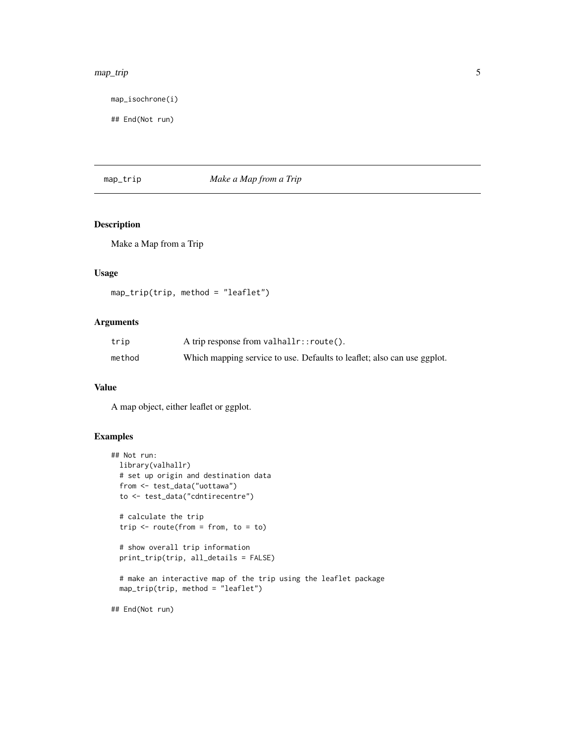#### <span id="page-4-0"></span>map\_trip 5

map\_isochrone(i)

## End(Not run)

#### map\_trip *Make a Map from a Trip*

# Description

Make a Map from a Trip

# Usage

```
map_trip(trip, method = "leaflet")
```
# Arguments

| trip   | A trip response from $vahlar::route()$ .                                |
|--------|-------------------------------------------------------------------------|
| method | Which mapping service to use. Defaults to leaflet; also can use ggplot. |

# Value

A map object, either leaflet or ggplot.

# Examples

```
## Not run:
 library(valhallr)
 # set up origin and destination data
 from <- test_data("uottawa")
 to <- test_data("cdntirecentre")
 # calculate the trip
 trip \le - route(from = from, to = to)
 # show overall trip information
 print_trip(trip, all_details = FALSE)
 # make an interactive map of the trip using the leaflet package
 map_trip(trip, method = "leaflet")
## End(Not run)
```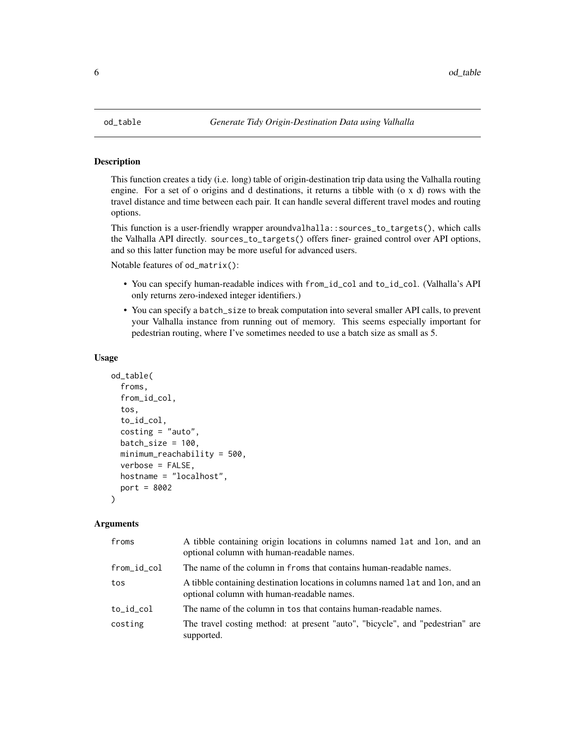<span id="page-5-0"></span>

#### Description

This function creates a tidy (i.e. long) table of origin-destination trip data using the Valhalla routing engine. For a set of o origins and d destinations, it returns a tibble with (o x d) rows with the travel distance and time between each pair. It can handle several different travel modes and routing options.

This function is a user-friendly wrapper aroundvalhalla::sources\_to\_targets(), which calls the Valhalla API directly. sources\_to\_targets() offers finer- grained control over API options, and so this latter function may be more useful for advanced users.

Notable features of od\_matrix():

- You can specify human-readable indices with from\_id\_col and to\_id\_col. (Valhalla's API only returns zero-indexed integer identifiers.)
- You can specify a batch\_size to break computation into several smaller API calls, to prevent your Valhalla instance from running out of memory. This seems especially important for pedestrian routing, where I've sometimes needed to use a batch size as small as 5.

#### Usage

```
od_table(
  froms,
  from_id_col,
  tos,
  to_id_col,
  costing = "auto",batch_size = 100,
  minimum_reachability = 500,
  verbose = FALSE,
 hostname = "localhost",
  port = 8002
\lambda
```
#### Arguments

| froms       | A tibble containing origin locations in columns named lat and lon, and an<br>optional column with human-readable names.      |
|-------------|------------------------------------------------------------------------------------------------------------------------------|
| from_id_col | The name of the column in froms that contains human-readable names.                                                          |
| tos         | A tibble containing destination locations in columns named lat and lon, and an<br>optional column with human-readable names. |
| to_id_col   | The name of the column in tos that contains human-readable names.                                                            |
| costing     | The travel costing method: at present "auto", "bicycle", and "pedestrian" are<br>supported.                                  |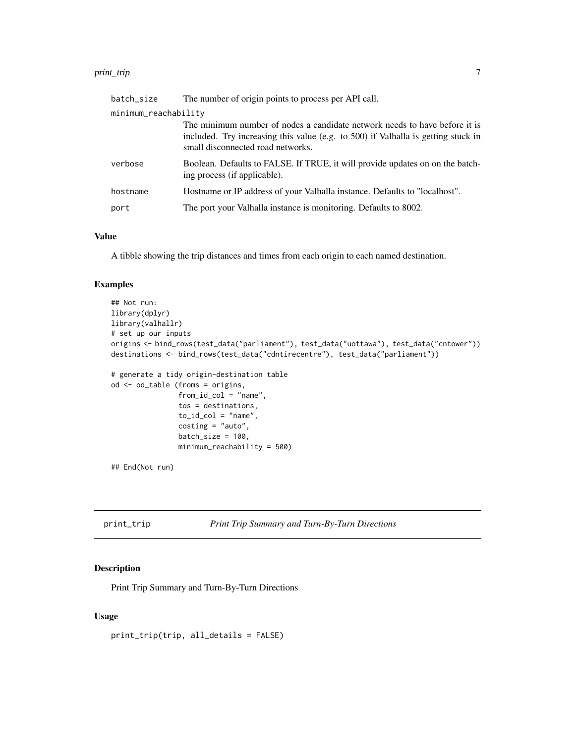#### <span id="page-6-0"></span>print\_trip 7 to 1.0 minutes and 2.0 minutes and 2.0 minutes and 2.0 minutes and 2.0 minutes and 2.0 minutes and 2.0 minutes and 2.0 minutes and 2.0 minutes and 2.0 minutes and 2.0 minutes and 2.0 minutes and 2.0 minutes an

| batch_size           | The number of origin points to process per API call.                                                                                                                                                 |
|----------------------|------------------------------------------------------------------------------------------------------------------------------------------------------------------------------------------------------|
| minimum_reachability |                                                                                                                                                                                                      |
|                      | The minimum number of nodes a candidate network needs to have before it is<br>included. Try increasing this value (e.g. to 500) if Valhalla is getting stuck in<br>small disconnected road networks. |
| verbose              | Boolean. Defaults to FALSE. If TRUE, it will provide updates on on the batch-<br>ing process (if applicable).                                                                                        |
| hostname             | Hostname or IP address of your Valhalla instance. Defaults to "localhost".                                                                                                                           |
| port                 | The port your Valhalla instance is monitoring. Defaults to 8002.                                                                                                                                     |
|                      |                                                                                                                                                                                                      |

### Value

A tibble showing the trip distances and times from each origin to each named destination.

# Examples

```
## Not run:
library(dplyr)
library(valhallr)
# set up our inputs
origins <- bind_rows(test_data("parliament"), test_data("uottawa"), test_data("cntower"))
destinations <- bind_rows(test_data("cdntirecentre"), test_data("parliament"))
# generate a tidy origin-destination table
od <- od_table (froms = origins,
                from_id_col = "name",
                tos = destinations,
                to_id\_col = "name",
                costing = "auto",
                batch_size = 100,
                minimum_reachability = 500)
## End(Not run)
```

```
print_trip Print Trip Summary and Turn-By-Turn Directions
```
# Description

Print Trip Summary and Turn-By-Turn Directions

#### Usage

print\_trip(trip, all\_details = FALSE)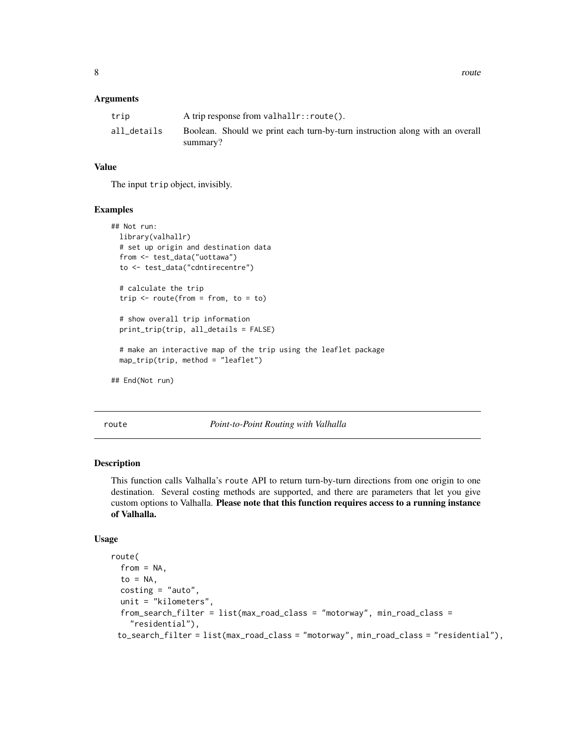#### <span id="page-7-0"></span>**Arguments**

| trip        | A trip response from $vahlar::route()$ .                                                 |
|-------------|------------------------------------------------------------------------------------------|
| all_details | Boolean. Should we print each turn-by-turn instruction along with an overall<br>summary? |

### Value

The input trip object, invisibly.

#### Examples

```
## Not run:
 library(valhallr)
 # set up origin and destination data
 from <- test_data("uottawa")
 to <- test_data("cdntirecentre")
 # calculate the trip
 trip \le - route(from = from, to = to)
 # show overall trip information
 print_trip(trip, all_details = FALSE)
 # make an interactive map of the trip using the leaflet package
 map_trip(trip, method = "leaflet")
## End(Not run)
```
route *Point-to-Point Routing with Valhalla*

# Description

This function calls Valhalla's route API to return turn-by-turn directions from one origin to one destination. Several costing methods are supported, and there are parameters that let you give custom options to Valhalla. Please note that this function requires access to a running instance of Valhalla.

#### Usage

```
route(
  from = NA,
  to = NA.
  costing = "auto",unit = "kilometers",
  from_search_filter = list(max_road_class = "motorway", min_road_class =
    "residential"),
 to_search_filter = list(max_road_class = "motorway", min_road_class = "residential"),
```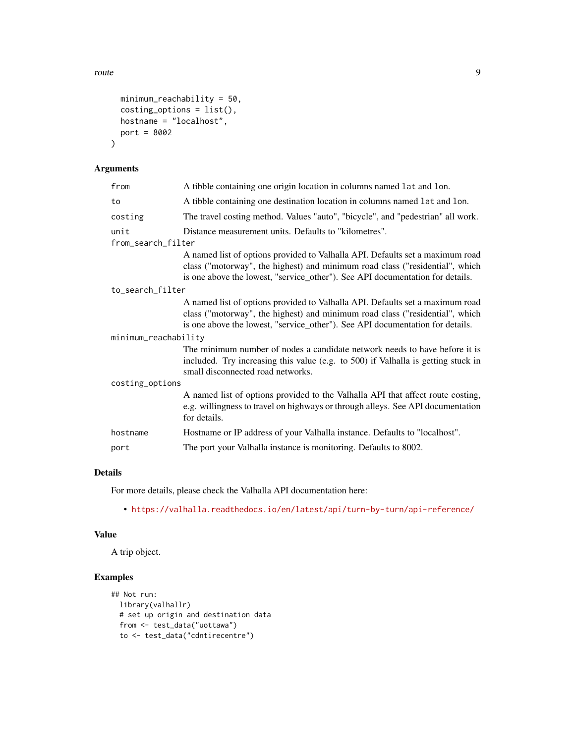route 9

```
minimum_reachability = 50,
costing_options = list(),
hostname = "localhost",
port = 8002
```
# Arguments

 $\mathcal{L}$ 

| from                 | A tibble containing one origin location in columns named lat and lon.                                                                                                                                                                          |
|----------------------|------------------------------------------------------------------------------------------------------------------------------------------------------------------------------------------------------------------------------------------------|
| to                   | A tibble containing one destination location in columns named lat and lon.                                                                                                                                                                     |
| costing              | The travel costing method. Values "auto", "bicycle", and "pedestrian" all work.                                                                                                                                                                |
| unit                 | Distance measurement units. Defaults to "kilometres".                                                                                                                                                                                          |
| from_search_filter   |                                                                                                                                                                                                                                                |
|                      | A named list of options provided to Valhalla API. Defaults set a maximum road<br>class ("motorway", the highest) and minimum road class ("residential", which<br>is one above the lowest, "service_other"). See API documentation for details. |
| to_search_filter     |                                                                                                                                                                                                                                                |
|                      | A named list of options provided to Valhalla API. Defaults set a maximum road<br>class ("motorway", the highest) and minimum road class ("residential", which<br>is one above the lowest, "service_other"). See API documentation for details. |
| minimum_reachability |                                                                                                                                                                                                                                                |
|                      | The minimum number of nodes a candidate network needs to have before it is<br>included. Try increasing this value (e.g. to 500) if Valhalla is getting stuck in<br>small disconnected road networks.                                           |
| costing_options      |                                                                                                                                                                                                                                                |
|                      | A named list of options provided to the Valhalla API that affect route costing,<br>e.g. willingness to travel on highways or through alleys. See API documentation<br>for details.                                                             |
| hostname             | Hostname or IP address of your Valhalla instance. Defaults to "localhost".                                                                                                                                                                     |
| port                 | The port your Valhalla instance is monitoring. Defaults to 8002.                                                                                                                                                                               |
|                      |                                                                                                                                                                                                                                                |

# Details

For more details, please check the Valhalla API documentation here:

• <https://valhalla.readthedocs.io/en/latest/api/turn-by-turn/api-reference/>

#### Value

A trip object.

# Examples

```
## Not run:
 library(valhallr)
  # set up origin and destination data
  from <- test_data("uottawa")
  to <- test_data("cdntirecentre")
```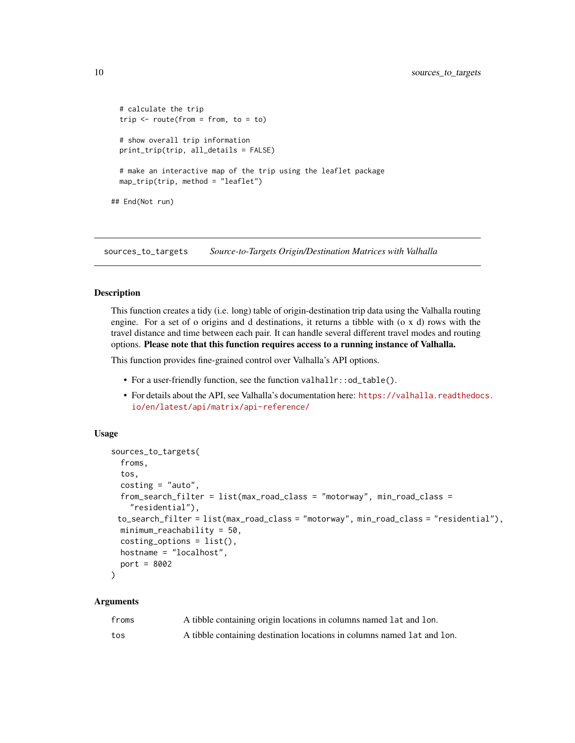```
# calculate the trip
 trip <- route(from = from, to = to)
 # show overall trip information
 print_trip(trip, all_details = FALSE)
 # make an interactive map of the trip using the leaflet package
 map_trip(trip, method = "leaflet")
## End(Not run)
```
sources\_to\_targets *Source-to-Targets Origin/Destination Matrices with Valhalla*

#### **Description**

This function creates a tidy (i.e. long) table of origin-destination trip data using the Valhalla routing engine. For a set of o origins and d destinations, it returns a tibble with (o x d) rows with the travel distance and time between each pair. It can handle several different travel modes and routing options. Please note that this function requires access to a running instance of Valhalla.

This function provides fine-grained control over Valhalla's API options.

- For a user-friendly function, see the function valhallr::od\_table().
- For details about the API, see Valhalla's documentation here: [https://valhalla.readthedoc](https://valhalla.readthedocs.io/en/latest/api/matrix/api-reference/)s. [io/en/latest/api/matrix/api-reference/](https://valhalla.readthedocs.io/en/latest/api/matrix/api-reference/)

#### Usage

```
sources_to_targets(
  froms,
  tos,
  costing = "auto",from_search_filter = list(max_road_class = "motorway", min_road_class =
    "residential"),
 to_search_filter = list(max_road_class = "motorway", min_road_class = "residential"),
 minimum_reachability = 50,
  costing_options = list(),
 hostname = "localhost",
 port = 8002
)
```
#### Arguments

| froms | A tibble containing origin locations in columns named lat and lon.      |
|-------|-------------------------------------------------------------------------|
| tos   | A tibble containing destination locations in columns named lat and lon. |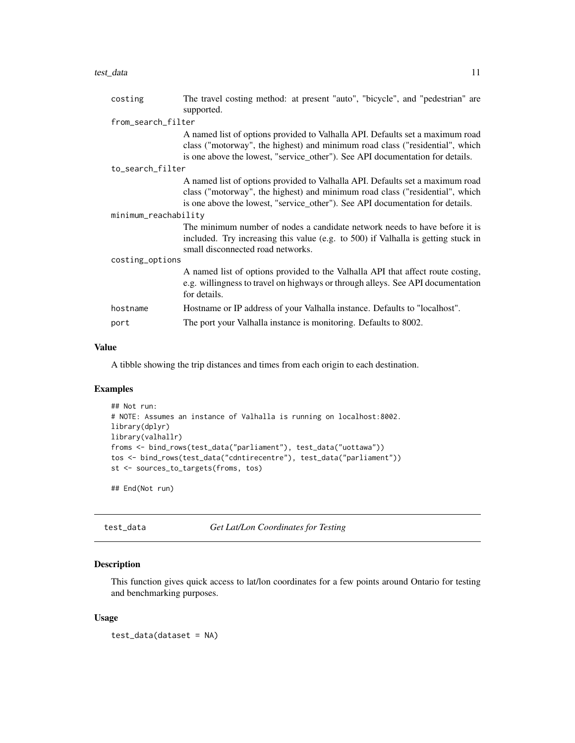<span id="page-10-0"></span>

| costing              | The travel costing method: at present "auto", "bicycle", and "pedestrian" are<br>supported.                                                                                                                                                    |
|----------------------|------------------------------------------------------------------------------------------------------------------------------------------------------------------------------------------------------------------------------------------------|
| from_search_filter   |                                                                                                                                                                                                                                                |
|                      | A named list of options provided to Valhalla API. Defaults set a maximum road<br>class ("motorway", the highest) and minimum road class ("residential", which<br>is one above the lowest, "service_other"). See API documentation for details. |
| to_search_filter     |                                                                                                                                                                                                                                                |
|                      | A named list of options provided to Valhalla API. Defaults set a maximum road<br>class ("motorway", the highest) and minimum road class ("residential", which<br>is one above the lowest, "service_other"). See API documentation for details. |
| minimum_reachability |                                                                                                                                                                                                                                                |
|                      | The minimum number of nodes a candidate network needs to have before it is<br>included. Try increasing this value (e.g. to 500) if Valhalla is getting stuck in<br>small disconnected road networks.                                           |
| costing_options      |                                                                                                                                                                                                                                                |
|                      | A named list of options provided to the Valhalla API that affect route costing,<br>e.g. willingness to travel on highways or through alleys. See API documentation<br>for details.                                                             |
| hostname             | Hostname or IP address of your Valhalla instance. Defaults to "localhost".                                                                                                                                                                     |
| port                 | The port your Valhalla instance is monitoring. Defaults to 8002.                                                                                                                                                                               |

#### Value

A tibble showing the trip distances and times from each origin to each destination.

# Examples

```
## Not run:
# NOTE: Assumes an instance of Valhalla is running on localhost:8002.
library(dplyr)
library(valhallr)
froms <- bind_rows(test_data("parliament"), test_data("uottawa"))
tos <- bind_rows(test_data("cdntirecentre"), test_data("parliament"))
st <- sources_to_targets(froms, tos)
```
## End(Not run)

test\_data *Get Lat/Lon Coordinates for Testing*

## Description

This function gives quick access to lat/lon coordinates for a few points around Ontario for testing and benchmarking purposes.

#### Usage

test\_data(dataset = NA)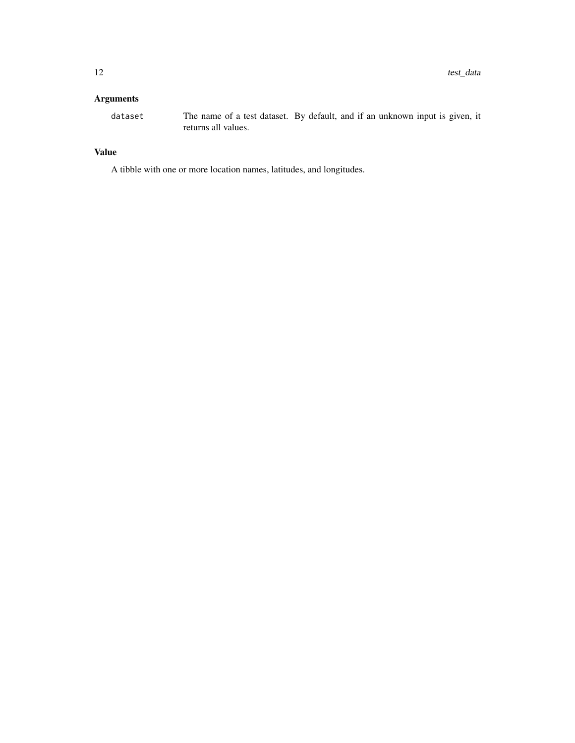# Arguments

dataset The name of a test dataset. By default, and if an unknown input is given, it returns all values.

# Value

A tibble with one or more location names, latitudes, and longitudes.